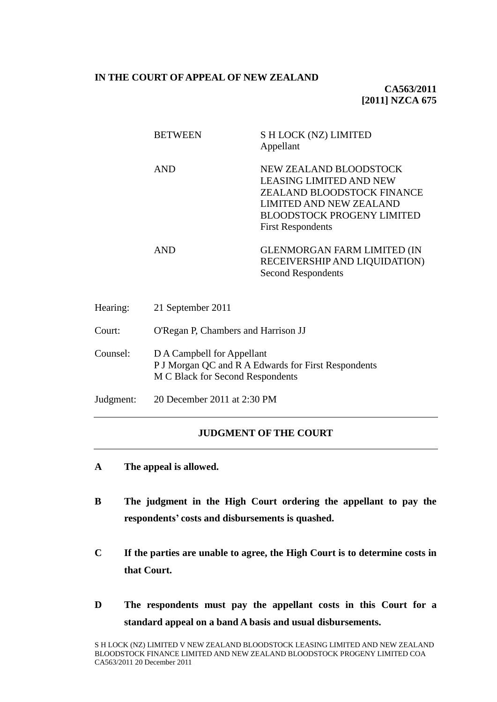#### **IN THE COURT OF APPEAL OF NEW ZEALAND**

**CA563/2011 [2011] NZCA 675**

| <b>BETWEEN</b> | S H LOCK (NZ) LIMITED<br>Appellant                                                                                                                                                        |
|----------------|-------------------------------------------------------------------------------------------------------------------------------------------------------------------------------------------|
| <b>AND</b>     | <b>NEW ZEALAND BLOODSTOCK</b><br><b>LEASING LIMITED AND NEW</b><br>ZEALAND BLOODSTOCK FINANCE<br>LIMITED AND NEW ZEALAND<br><b>BLOODSTOCK PROGENY LIMITED</b><br><b>First Respondents</b> |
| <b>AND</b>     | <b>GLENMORGAN FARM LIMITED (IN</b><br>RECEIVERSHIP AND LIQUIDATION)<br><b>Second Respondents</b>                                                                                          |

| Hearing:  | 21 September 2011                                                                                                     |
|-----------|-----------------------------------------------------------------------------------------------------------------------|
| Court:    | O'Regan P, Chambers and Harrison JJ                                                                                   |
| Counsel:  | D A Campbell for Appellant<br>P J Morgan QC and R A Edwards for First Respondents<br>M C Black for Second Respondents |
| Judgment: | 20 December 2011 at 2:30 PM                                                                                           |

### **JUDGMENT OF THE COURT**

- **A The appeal is allowed.**
- **B The judgment in the High Court ordering the appellant to pay the respondents' costs and disbursements is quashed.**
- **C If the parties are unable to agree, the High Court is to determine costs in that Court.**
- **D The respondents must pay the appellant costs in this Court for a standard appeal on a band A basis and usual disbursements.**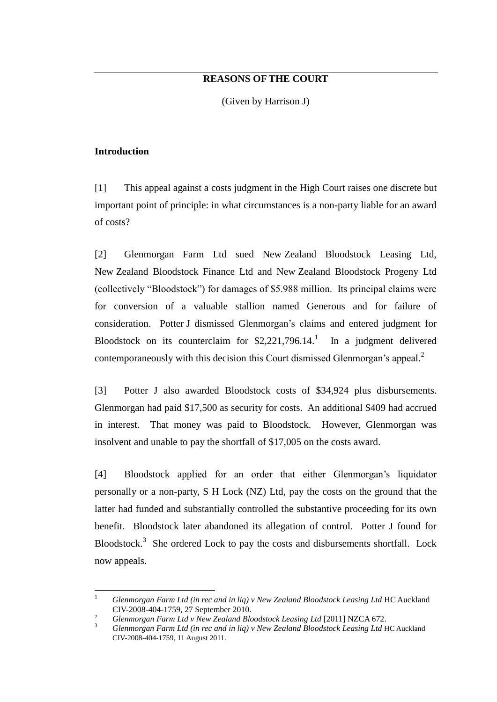# **REASONS OF THE COURT**

(Given by Harrison J)

### **Introduction**

[1] This appeal against a costs judgment in the High Court raises one discrete but important point of principle: in what circumstances is a non-party liable for an award of costs?

[2] Glenmorgan Farm Ltd sued New Zealand Bloodstock Leasing Ltd, New Zealand Bloodstock Finance Ltd and New Zealand Bloodstock Progeny Ltd (collectively "Bloodstock") for damages of \$5.988 million. Its principal claims were for conversion of a valuable stallion named Generous and for failure of consideration. Potter J dismissed Glenmorgan's claims and entered judgment for Bloodstock on its counterclaim for  $$2,221,796.14$ . In a judgment delivered contemporaneously with this decision this Court dismissed Glenmorgan's appeal.<sup>2</sup>

[3] Potter J also awarded Bloodstock costs of \$34,924 plus disbursements. Glenmorgan had paid \$17,500 as security for costs. An additional \$409 had accrued in interest. That money was paid to Bloodstock. However, Glenmorgan was insolvent and unable to pay the shortfall of \$17,005 on the costs award.

[4] Bloodstock applied for an order that either Glenmorgan's liquidator personally or a non-party, S H Lock (NZ) Ltd, pay the costs on the ground that the latter had funded and substantially controlled the substantive proceeding for its own benefit. Bloodstock later abandoned its allegation of control. Potter J found for Bloodstock.<sup>3</sup> She ordered Lock to pay the costs and disbursements shortfall. Lock now appeals.

 $\mathbf{1}$ <sup>1</sup> *Glenmorgan Farm Ltd (in rec and in liq) v New Zealand Bloodstock Leasing Ltd* HC Auckland CIV-2008-404-1759, 27 September 2010.

<sup>2</sup> *Glenmorgan Farm Ltd v New Zealand Bloodstock Leasing Ltd* [2011] NZCA 672.

<sup>3</sup> *Glenmorgan Farm Ltd (in rec and in liq) v New Zealand Bloodstock Leasing Ltd* HC Auckland CIV-2008-404-1759, 11 August 2011.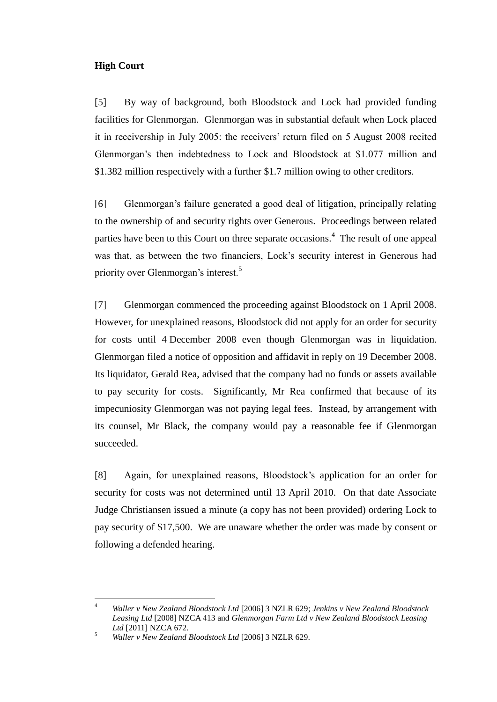## **High Court**

[5] By way of background, both Bloodstock and Lock had provided funding facilities for Glenmorgan. Glenmorgan was in substantial default when Lock placed it in receivership in July 2005: the receivers' return filed on 5 August 2008 recited Glenmorgan's then indebtedness to Lock and Bloodstock at \$1.077 million and \$1.382 million respectively with a further \$1.7 million owing to other creditors.

[6] Glenmorgan's failure generated a good deal of litigation, principally relating to the ownership of and security rights over Generous. Proceedings between related parties have been to this Court on three separate occasions.<sup>4</sup> The result of one appeal was that, as between the two financiers, Lock's security interest in Generous had priority over Glenmorgan's interest.<sup>5</sup>

[7] Glenmorgan commenced the proceeding against Bloodstock on 1 April 2008. However, for unexplained reasons, Bloodstock did not apply for an order for security for costs until 4 December 2008 even though Glenmorgan was in liquidation. Glenmorgan filed a notice of opposition and affidavit in reply on 19 December 2008. Its liquidator, Gerald Rea, advised that the company had no funds or assets available to pay security for costs. Significantly, Mr Rea confirmed that because of its impecuniosity Glenmorgan was not paying legal fees. Instead, by arrangement with its counsel, Mr Black, the company would pay a reasonable fee if Glenmorgan succeeded.

[8] Again, for unexplained reasons, Bloodstock's application for an order for security for costs was not determined until 13 April 2010. On that date Associate Judge Christiansen issued a minute (a copy has not been provided) ordering Lock to pay security of \$17,500. We are unaware whether the order was made by consent or following a defended hearing.

 $\overline{4}$ <sup>4</sup> *Waller v New Zealand Bloodstock Ltd* [2006] 3 NZLR 629; *Jenkins v New Zealand Bloodstock Leasing Ltd* [2008] NZCA 413 and *Glenmorgan Farm Ltd v New Zealand Bloodstock Leasing Ltd* [2011] NZCA 672.

<sup>5</sup> *Waller v New Zealand Bloodstock Ltd* [2006] 3 NZLR 629.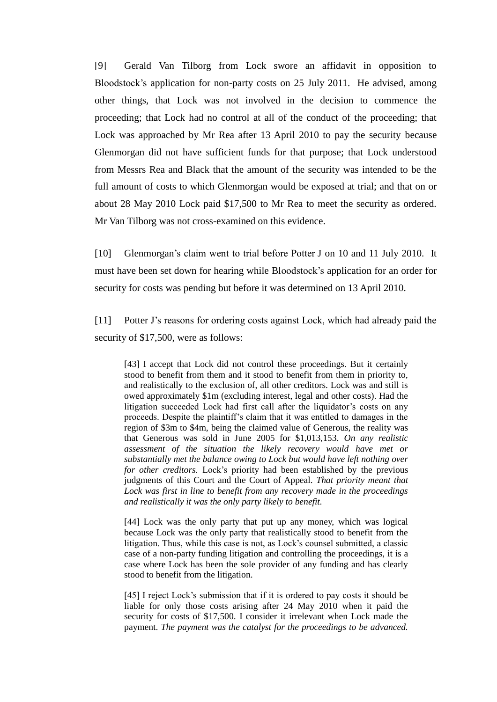[9] Gerald Van Tilborg from Lock swore an affidavit in opposition to Bloodstock's application for non-party costs on 25 July 2011. He advised, among other things, that Lock was not involved in the decision to commence the proceeding; that Lock had no control at all of the conduct of the proceeding; that Lock was approached by Mr Rea after 13 April 2010 to pay the security because Glenmorgan did not have sufficient funds for that purpose; that Lock understood from Messrs Rea and Black that the amount of the security was intended to be the full amount of costs to which Glenmorgan would be exposed at trial; and that on or about 28 May 2010 Lock paid \$17,500 to Mr Rea to meet the security as ordered. Mr Van Tilborg was not cross-examined on this evidence.

[10] Glenmorgan's claim went to trial before Potter J on 10 and 11 July 2010. It must have been set down for hearing while Bloodstock's application for an order for security for costs was pending but before it was determined on 13 April 2010.

[11] Potter J's reasons for ordering costs against Lock, which had already paid the security of \$17,500, were as follows:

[43] I accept that Lock did not control these proceedings. But it certainly stood to benefit from them and it stood to benefit from them in priority to, and realistically to the exclusion of, all other creditors. Lock was and still is owed approximately \$1m (excluding interest, legal and other costs). Had the litigation succeeded Lock had first call after the liquidator's costs on any proceeds. Despite the plaintiff's claim that it was entitled to damages in the region of \$3m to \$4m, being the claimed value of Generous, the reality was that Generous was sold in June 2005 for \$1,013,153. *On any realistic assessment of the situation the likely recovery would have met or substantially met the balance owing to Lock but would have left nothing over for other creditors.* Lock's priority had been established by the previous judgments of this Court and the Court of Appeal. *That priority meant that Lock was first in line to benefit from any recovery made in the proceedings and realistically it was the only party likely to benefit.*

[44] Lock was the only party that put up any money, which was logical because Lock was the only party that realistically stood to benefit from the litigation. Thus, while this case is not, as Lock's counsel submitted, a classic case of a non-party funding litigation and controlling the proceedings, it is a case where Lock has been the sole provider of any funding and has clearly stood to benefit from the litigation.

[45] I reject Lock's submission that if it is ordered to pay costs it should be liable for only those costs arising after 24 May 2010 when it paid the security for costs of \$17,500. I consider it irrelevant when Lock made the payment. *The payment was the catalyst for the proceedings to be advanced.*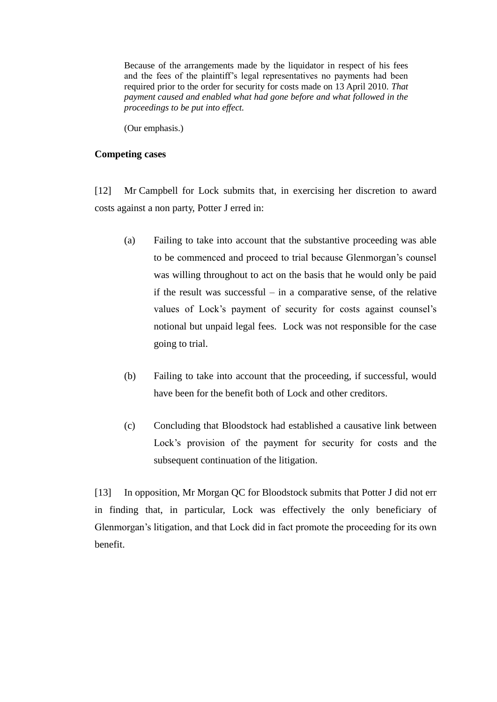Because of the arrangements made by the liquidator in respect of his fees and the fees of the plaintiff's legal representatives no payments had been required prior to the order for security for costs made on 13 April 2010. *That payment caused and enabled what had gone before and what followed in the proceedings to be put into effect.*

(Our emphasis.)

#### **Competing cases**

[12] Mr Campbell for Lock submits that, in exercising her discretion to award costs against a non party, Potter J erred in:

- (a) Failing to take into account that the substantive proceeding was able to be commenced and proceed to trial because Glenmorgan's counsel was willing throughout to act on the basis that he would only be paid if the result was successful – in a comparative sense, of the relative values of Lock's payment of security for costs against counsel's notional but unpaid legal fees. Lock was not responsible for the case going to trial.
- (b) Failing to take into account that the proceeding, if successful, would have been for the benefit both of Lock and other creditors.
- (c) Concluding that Bloodstock had established a causative link between Lock's provision of the payment for security for costs and the subsequent continuation of the litigation.

[13] In opposition, Mr Morgan QC for Bloodstock submits that Potter J did not err in finding that, in particular, Lock was effectively the only beneficiary of Glenmorgan's litigation, and that Lock did in fact promote the proceeding for its own benefit.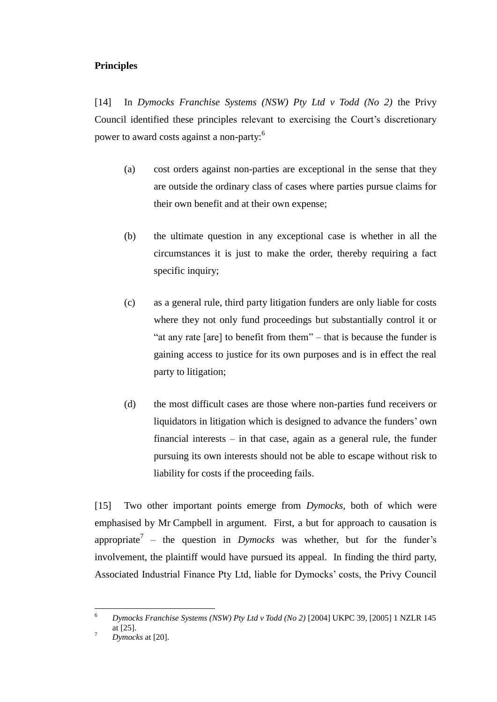## **Principles**

[14] In *Dymocks Franchise Systems (NSW) Pty Ltd v Todd (No 2)* the Privy Council identified these principles relevant to exercising the Court's discretionary power to award costs against a non-party:<sup>6</sup>

- (a) cost orders against non-parties are exceptional in the sense that they are outside the ordinary class of cases where parties pursue claims for their own benefit and at their own expense;
- (b) the ultimate question in any exceptional case is whether in all the circumstances it is just to make the order, thereby requiring a fact specific inquiry;
- (c) as a general rule, third party litigation funders are only liable for costs where they not only fund proceedings but substantially control it or "at any rate  $[are]$  to benefit from them" – that is because the funder is gaining access to justice for its own purposes and is in effect the real party to litigation;
- (d) the most difficult cases are those where non-parties fund receivers or liquidators in litigation which is designed to advance the funders' own financial interests – in that case, again as a general rule, the funder pursuing its own interests should not be able to escape without risk to liability for costs if the proceeding fails.

[15] Two other important points emerge from *Dymocks*, both of which were emphasised by Mr Campbell in argument. First, a but for approach to causation is appropriate<sup>7</sup> – the question in *Dymocks* was whether, but for the funder's involvement, the plaintiff would have pursued its appeal. In finding the third party, Associated Industrial Finance Pty Ltd, liable for Dymocks' costs, the Privy Council

<sup>6</sup> <sup>6</sup> *Dymocks Franchise Systems (NSW) Pty Ltd v Todd (No 2)* [2004] UKPC 39, [2005] 1 NZLR 145 at [25].

 $^7$  *Dymocks* at [20].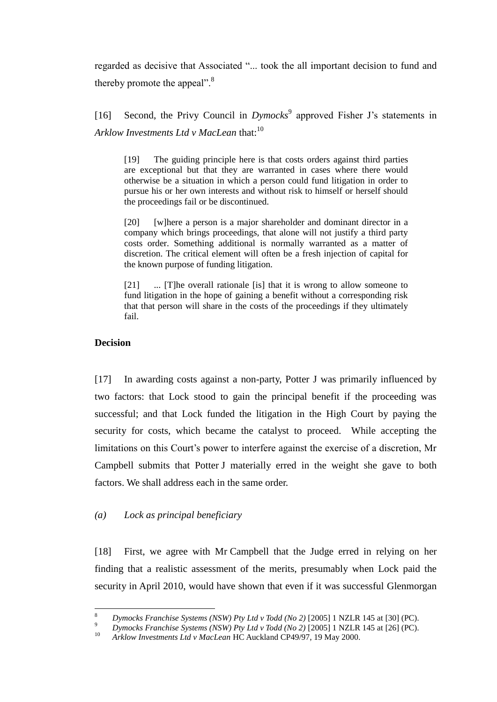regarded as decisive that Associated "... took the all important decision to fund and thereby promote the appeal". $8$ 

[16] Second, the Privy Council in *Dymocks*<sup>9</sup> approved Fisher J's statements in *Arklow Investments Ltd v MacLean* that: 10

[19] The guiding principle here is that costs orders against third parties are exceptional but that they are warranted in cases where there would otherwise be a situation in which a person could fund litigation in order to pursue his or her own interests and without risk to himself or herself should the proceedings fail or be discontinued.

[20] [w]here a person is a major shareholder and dominant director in a company which brings proceedings, that alone will not justify a third party costs order. Something additional is normally warranted as a matter of discretion. The critical element will often be a fresh injection of capital for the known purpose of funding litigation.

[21] ... [T]he overall rationale [is] that it is wrong to allow someone to fund litigation in the hope of gaining a benefit without a corresponding risk that that person will share in the costs of the proceedings if they ultimately fail.

#### **Decision**

 $\overline{a}$ 

[17] In awarding costs against a non-party, Potter J was primarily influenced by two factors: that Lock stood to gain the principal benefit if the proceeding was successful; and that Lock funded the litigation in the High Court by paying the security for costs, which became the catalyst to proceed. While accepting the limitations on this Court's power to interfere against the exercise of a discretion, Mr Campbell submits that Potter J materially erred in the weight she gave to both factors. We shall address each in the same order.

#### *(a) Lock as principal beneficiary*

[18] First, we agree with Mr Campbell that the Judge erred in relying on her finding that a realistic assessment of the merits, presumably when Lock paid the security in April 2010, would have shown that even if it was successful Glenmorgan

<sup>8</sup> *Dymocks Franchise Systems (NSW) Pty Ltd v Todd (No 2)* [2005] 1 NZLR 145 at [30] (PC).

<sup>&</sup>lt;sup>9</sup> *Dymocks Franchise Systems (NSW) Pty Ltd v Todd (No 2)* [2005] 1 NZLR 145 at [26] (PC).

<sup>10</sup> *Arklow Investments Ltd v MacLean* HC Auckland CP49/97, 19 May 2000.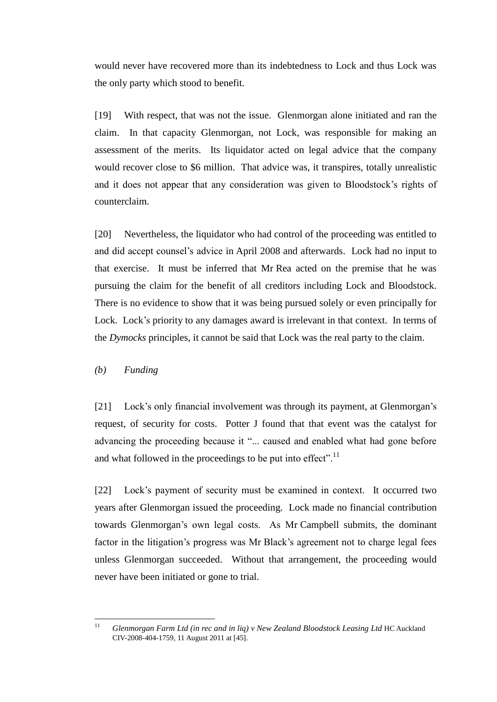would never have recovered more than its indebtedness to Lock and thus Lock was the only party which stood to benefit.

[19] With respect, that was not the issue. Glenmorgan alone initiated and ran the claim. In that capacity Glenmorgan, not Lock, was responsible for making an assessment of the merits. Its liquidator acted on legal advice that the company would recover close to \$6 million. That advice was, it transpires, totally unrealistic and it does not appear that any consideration was given to Bloodstock's rights of counterclaim.

[20] Nevertheless, the liquidator who had control of the proceeding was entitled to and did accept counsel's advice in April 2008 and afterwards. Lock had no input to that exercise. It must be inferred that Mr Rea acted on the premise that he was pursuing the claim for the benefit of all creditors including Lock and Bloodstock. There is no evidence to show that it was being pursued solely or even principally for Lock. Lock's priority to any damages award is irrelevant in that context. In terms of the *Dymocks* principles, it cannot be said that Lock was the real party to the claim.

*(b) Funding*

[21] Lock's only financial involvement was through its payment, at Glenmorgan's request, of security for costs. Potter J found that that event was the catalyst for advancing the proceeding because it "... caused and enabled what had gone before and what followed in the proceedings to be put into effect".<sup>11</sup>

[22] Lock's payment of security must be examined in context. It occurred two years after Glenmorgan issued the proceeding. Lock made no financial contribution towards Glenmorgan's own legal costs. As Mr Campbell submits, the dominant factor in the litigation's progress was Mr Black's agreement not to charge legal fees unless Glenmorgan succeeded. Without that arrangement, the proceeding would never have been initiated or gone to trial.

 $11$ <sup>11</sup> *Glenmorgan Farm Ltd (in rec and in liq) v New Zealand Bloodstock Leasing Ltd* HC Auckland CIV-2008-404-1759, 11 August 2011 at [45].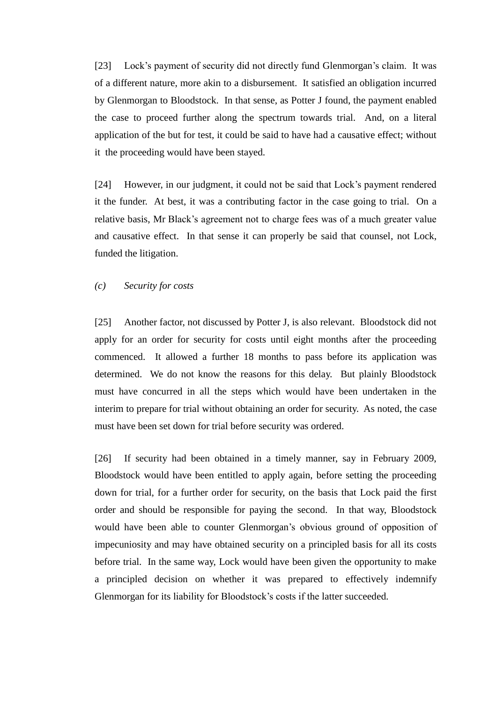[23] Lock's payment of security did not directly fund Glenmorgan's claim. It was of a different nature, more akin to a disbursement. It satisfied an obligation incurred by Glenmorgan to Bloodstock. In that sense, as Potter J found, the payment enabled the case to proceed further along the spectrum towards trial. And, on a literal application of the but for test, it could be said to have had a causative effect; without it the proceeding would have been stayed.

[24] However, in our judgment, it could not be said that Lock's payment rendered it the funder. At best, it was a contributing factor in the case going to trial. On a relative basis, Mr Black's agreement not to charge fees was of a much greater value and causative effect. In that sense it can properly be said that counsel, not Lock, funded the litigation.

#### *(c) Security for costs*

[25] Another factor, not discussed by Potter J, is also relevant. Bloodstock did not apply for an order for security for costs until eight months after the proceeding commenced. It allowed a further 18 months to pass before its application was determined. We do not know the reasons for this delay. But plainly Bloodstock must have concurred in all the steps which would have been undertaken in the interim to prepare for trial without obtaining an order for security. As noted, the case must have been set down for trial before security was ordered.

[26] If security had been obtained in a timely manner, say in February 2009, Bloodstock would have been entitled to apply again, before setting the proceeding down for trial, for a further order for security, on the basis that Lock paid the first order and should be responsible for paying the second. In that way, Bloodstock would have been able to counter Glenmorgan's obvious ground of opposition of impecuniosity and may have obtained security on a principled basis for all its costs before trial. In the same way, Lock would have been given the opportunity to make a principled decision on whether it was prepared to effectively indemnify Glenmorgan for its liability for Bloodstock's costs if the latter succeeded.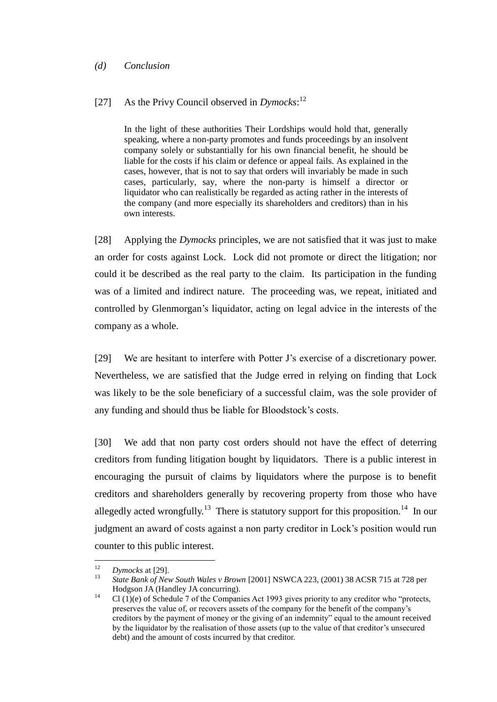#### *(d) Conclusion*

# [27] As the Privy Council observed in *Dymocks*: 12

In the light of these authorities Their Lordships would hold that, generally speaking, where a non-party promotes and funds proceedings by an insolvent company solely or substantially for his own financial benefit, he should be liable for the costs if his claim or defence or appeal fails. As explained in the cases, however, that is not to say that orders will invariably be made in such cases, particularly, say, where the non-party is himself a director or liquidator who can realistically be regarded as acting rather in the interests of the company (and more especially its shareholders and creditors) than in his own interests.

[28] Applying the *Dymocks* principles, we are not satisfied that it was just to make an order for costs against Lock. Lock did not promote or direct the litigation; nor could it be described as the real party to the claim. Its participation in the funding was of a limited and indirect nature. The proceeding was, we repeat, initiated and controlled by Glenmorgan's liquidator, acting on legal advice in the interests of the company as a whole.

[29] We are hesitant to interfere with Potter J's exercise of a discretionary power. Nevertheless, we are satisfied that the Judge erred in relying on finding that Lock was likely to be the sole beneficiary of a successful claim, was the sole provider of any funding and should thus be liable for Bloodstock's costs.

[30] We add that non party cost orders should not have the effect of deterring creditors from funding litigation bought by liquidators. There is a public interest in encouraging the pursuit of claims by liquidators where the purpose is to benefit creditors and shareholders generally by recovering property from those who have allegedly acted wrongfully.<sup>13</sup> There is statutory support for this proposition.<sup>14</sup> In our judgment an award of costs against a non party creditor in Lock's position would run counter to this public interest.

 $12$  $\frac{12}{13}$  *Dymocks* at [29].

<sup>13</sup> *State Bank of New South Wales v Brown* [2001] NSWCA 223, (2001) 38 ACSR 715 at 728 per Hodgson JA (Handley JA concurring).

 $14$  Cl (1)(e) of Schedule 7 of the Companies Act 1993 gives priority to any creditor who "protects, preserves the value of, or recovers assets of the company for the benefit of the company's creditors by the payment of money or the giving of an indemnity" equal to the amount received by the liquidator by the realisation of those assets (up to the value of that creditor's unsecured debt) and the amount of costs incurred by that creditor.